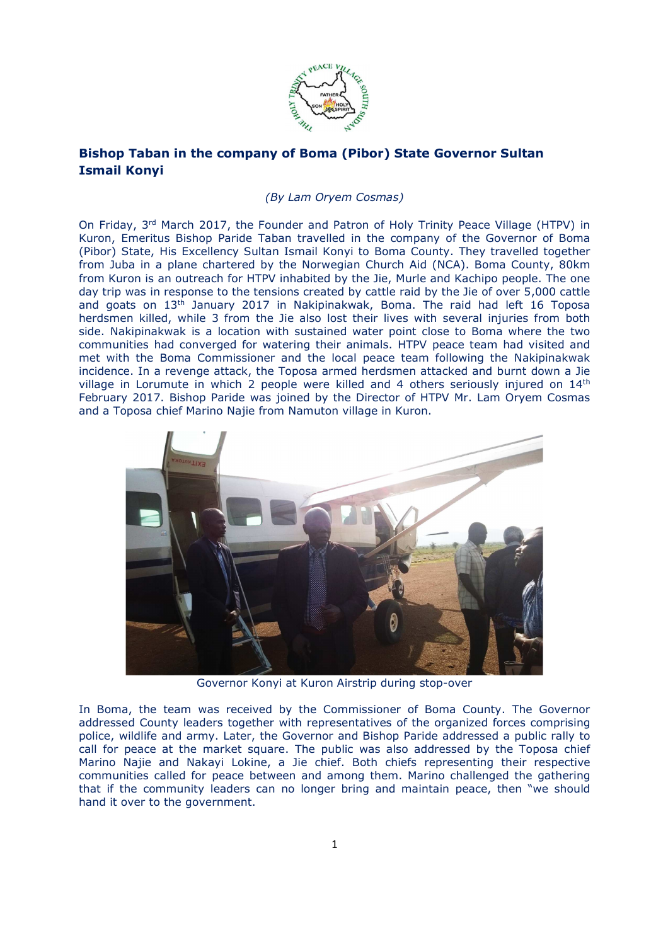

## **Bishop Taban in the company of Boma (Pibor) State Governor Sultan Ismail Konyi**

## *(By Lam Oryem Cosmas)*

On Friday, 3<sup>rd</sup> March 2017, the Founder and Patron of Holy Trinity Peace Village (HTPV) in Kuron, Emeritus Bishop Paride Taban travelled in the company of the Governor of Boma (Pibor) State, His Excellency Sultan Ismail Konyi to Boma County. They travelled together from Juba in a plane chartered by the Norwegian Church Aid (NCA). Boma County, 80km from Kuron is an outreach for HTPV inhabited by the Jie, Murle and Kachipo people. The one day trip was in response to the tensions created by cattle raid by the Jie of over 5,000 cattle and goats on  $13<sup>th</sup>$  January 2017 in Nakipinakwak, Boma. The raid had left 16 Toposa herdsmen killed, while 3 from the Jie also lost their lives with several injuries from both side. Nakipinakwak is a location with sustained water point close to Boma where the two communities had converged for watering their animals. HTPV peace team had visited and met with the Boma Commissioner and the local peace team following the Nakipinakwak incidence. In a revenge attack, the Toposa armed herdsmen attacked and burnt down a Jie village in Lorumute in which 2 people were killed and 4 others seriously injured on  $14<sup>th</sup>$ February 2017. Bishop Paride was joined by the Director of HTPV Mr. Lam Oryem Cosmas and a Toposa chief Marino Najie from Namuton village in Kuron.



Governor Konyi at Kuron Airstrip during stop-over

In Boma, the team was received by the Commissioner of Boma County. The Governor addressed County leaders together with representatives of the organized forces comprising police, wildlife and army. Later, the Governor and Bishop Paride addressed a public rally to call for peace at the market square. The public was also addressed by the Toposa chief Marino Najie and Nakayi Lokine, a Jie chief. Both chiefs representing their respective communities called for peace between and among them. Marino challenged the gathering that if the community leaders can no longer bring and maintain peace, then "we should hand it over to the government.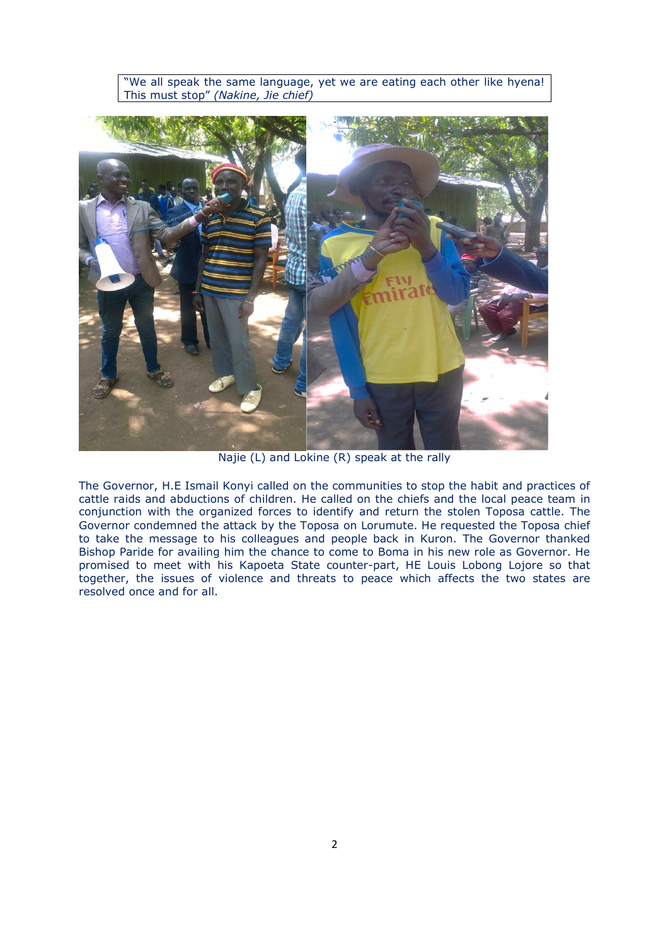"We all speak the same language, yet we are eating each other like hyena! This must stop" *(Nakine, Jie chief)*



Najie (L) and Lokine (R) speak at the rally

The Governor, H.E Ismail Konyi called on the communities to stop the habit and practices of cattle raids and abductions of children. He called on the chiefs and the local peace team in conjunction with the organized forces to identify and return the stolen Toposa cattle. The Governor condemned the attack by the Toposa on Lorumute. He requested the Toposa chief to take the message to his colleagues and people back in Kuron. The Governor thanked Bishop Paride for availing him the chance to come to Boma in his new role as Governor. He promised to meet with his Kapoeta State counter-part, HE Louis Lobong Lojore so that together, the issues of violence and threats to peace which affects the two states are resolved once and for all.